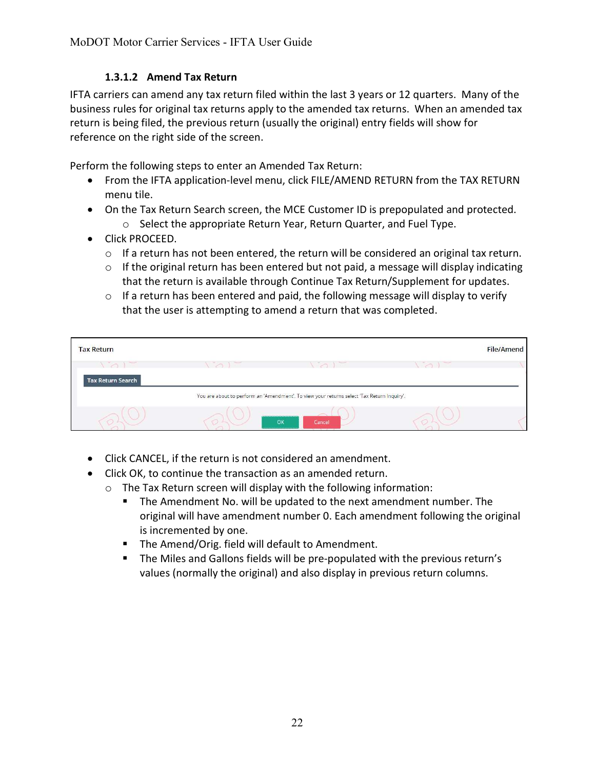## 1.3.1.2 Amend Tax Return

IFTA carriers can amend any tax return filed within the last 3 years or 12 quarters. Many of the business rules for original tax returns apply to the amended tax returns. When an amended tax return is being filed, the previous return (usually the original) entry fields will show for reference on the right side of the screen.

Perform the following steps to enter an Amended Tax Return:

- From the IFTA application-level menu, click FILE/AMEND RETURN from the TAX RETURN menu tile.
- On the Tax Return Search screen, the MCE Customer ID is prepopulated and protected. o Select the appropriate Return Year, Return Quarter, and Fuel Type.
- Click PROCEED.
	- $\circ$  If a return has not been entered, the return will be considered an original tax return.
	- o If the original return has been entered but not paid, a message will display indicating that the return is available through Continue Tax Return/Supplement for updates.
	- $\circ$  If a return has been entered and paid, the following message will display to verify that the user is attempting to amend a return that was completed.

| <b>Tax Return</b>                                                                                                                                                                                                                                                                                                                                                                                                                                                          |                                                                                            |        | <b>File/Amend</b> |
|----------------------------------------------------------------------------------------------------------------------------------------------------------------------------------------------------------------------------------------------------------------------------------------------------------------------------------------------------------------------------------------------------------------------------------------------------------------------------|--------------------------------------------------------------------------------------------|--------|-------------------|
| $\frac{1}{2} \left( \frac{1}{2} \right) \left( \frac{1}{2} \right) \left( \frac{1}{2} \right) \left( \frac{1}{2} \right) \left( \frac{1}{2} \right) \left( \frac{1}{2} \right) \left( \frac{1}{2} \right) \left( \frac{1}{2} \right) \left( \frac{1}{2} \right) \left( \frac{1}{2} \right) \left( \frac{1}{2} \right) \left( \frac{1}{2} \right) \left( \frac{1}{2} \right) \left( \frac{1}{2} \right) \left( \frac{1}{2} \right) \left( \frac{1}{2} \right) \left( \frac$ | <b>Service Controllers</b>                                                                 | $\sim$ |                   |
| <b>Tax Return Search</b>                                                                                                                                                                                                                                                                                                                                                                                                                                                   |                                                                                            |        |                   |
|                                                                                                                                                                                                                                                                                                                                                                                                                                                                            | You are about to perform an 'Amendment'. To view your returns select 'Tax Return Inquiry'. |        |                   |
|                                                                                                                                                                                                                                                                                                                                                                                                                                                                            | OK<br>Cancel                                                                               |        |                   |

- Click CANCEL, if the return is not considered an amendment.
- Click OK, to continue the transaction as an amended return.
	- o The Tax Return screen will display with the following information:
		- The Amendment No. will be updated to the next amendment number. The original will have amendment number 0. Each amendment following the original is incremented by one.
		- **The Amend/Orig. field will default to Amendment.**
		- The Miles and Gallons fields will be pre-populated with the previous return's values (normally the original) and also display in previous return columns.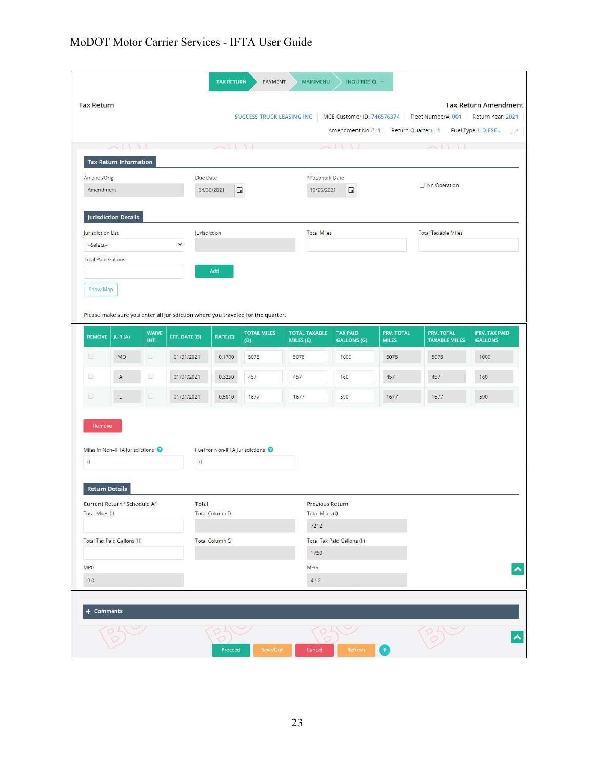|                                                                                                                  | <b>Tax Return</b>                                        |                      |                             |                       | SUCCESS TRUCK LEASING INC                                                                                    |                                            | MCE Customer ID: 746576374            |                                   | Fleet Number#: 001<br>Amendment No.#: 1 Return Quarter#: 1 Fuel Type#: DIESEL + | <b>Tax Return Amendment</b><br>Return Year: 2021 |
|------------------------------------------------------------------------------------------------------------------|----------------------------------------------------------|----------------------|-----------------------------|-----------------------|--------------------------------------------------------------------------------------------------------------|--------------------------------------------|---------------------------------------|-----------------------------------|---------------------------------------------------------------------------------|--------------------------------------------------|
|                                                                                                                  | $\cup$                                                   |                      |                             |                       |                                                                                                              |                                            |                                       |                                   |                                                                                 |                                                  |
| <b>Tax Return Information</b><br>Amend./Orig.<br>Due Date<br>$\overline{\phantom{a}}$<br>Amendment<br>04/30/2021 |                                                          |                      |                             |                       | *Postmark Date<br>$\Box$<br>10/05/2021                                                                       |                                            |                                       | No Operation                      |                                                                                 |                                                  |
| Jurisdiction List<br>--Select--                                                                                  | <b>Jurisdiction Details</b><br><b>Total Paid Gallons</b> |                      | Jurisdiction<br>$\check{~}$ |                       |                                                                                                              | <b>Total Miles</b>                         |                                       |                                   | <b>Total Taxable Miles</b>                                                      |                                                  |
| Show Map                                                                                                         |                                                          |                      |                             | Add                   |                                                                                                              |                                            |                                       |                                   |                                                                                 |                                                  |
| <b>REMOVE</b>                                                                                                    | JUR(A)                                                   | <b>WAIVE</b><br>INT. | EFF. DATE (B)               | RATE (C)              | Please make sure you enter all jurisdiction where you traveled for the quarter.<br><b>TOTAL MILES</b><br>(D) | <b>TOTAL TAXABLE</b><br>MILES (E)          | <b>TAX PAID</b><br><b>GALLONS (G)</b> | <b>PRV. TOTAL</b><br><b>MILES</b> | PRV. TOTAL<br><b>TAXABLE MILES</b>                                              | PRV. TAX PAID<br><b>GALLONS</b>                  |
| D.                                                                                                               | MO                                                       | 0                    | 01/01/2021                  | 0.1700                | 5078                                                                                                         | 5078                                       | 1000                                  | 5078                              | 5078                                                                            | 1000                                             |
| 8                                                                                                                | IA                                                       | 8                    | 01/01/2021                  | 0.3250                | 457                                                                                                          | 457                                        | 160                                   | 457                               | 457                                                                             | 160                                              |
| o                                                                                                                | $\parallel$                                              | o                    | 01/01/2021                  | 0.5810                | 1677                                                                                                         | 1677                                       | 590                                   | 1677                              | 1677                                                                            | 590                                              |
| Remove                                                                                                           | Miles in Non-IFTA Jurisdictions                          |                      | $\mathbb O$                 |                       | Fuel for Non-IFTA Jurisdictions                                                                              |                                            |                                       |                                   |                                                                                 |                                                  |
|                                                                                                                  | <b>Return Details</b>                                    |                      |                             |                       |                                                                                                              |                                            |                                       |                                   |                                                                                 |                                                  |
|                                                                                                                  | Current Return "Schedule A"                              |                      | Total                       | <b>Total Column D</b> |                                                                                                              | Previous Return<br>Total Miles (I)<br>7212 |                                       |                                   |                                                                                 |                                                  |
|                                                                                                                  | Total Tax Paid Gallons (II)                              |                      |                             | <b>Total Column G</b> |                                                                                                              | 1750                                       | Total Tax Paid Gallons (II)           |                                   |                                                                                 |                                                  |
| $\mathbf 0$<br>Total Miles (I)<br><b>MPG</b><br>0.0                                                              |                                                          |                      |                             |                       |                                                                                                              | <b>MPG</b><br>4.12                         |                                       |                                   |                                                                                 |                                                  |